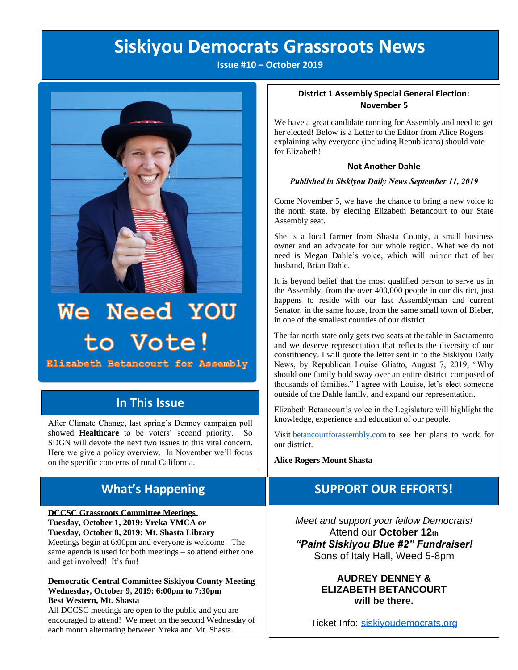## **Siskiyou Democrats Grassroots News**

**Issue #10 – October 2019**



# We Need YOU to Vote!

Elizabeth Betancourt for Assembly

## **In This Issue**

After Climate Change, last spring's Denney campaign poll showed **Healthcare** to be voters' second priority. So SDGN will devote the next two issues to this vital concern. Here we give a policy overview. In November we'll focus on the specific concerns of rural California.

## **What's Happening**

**DCCSC Grassroots Committee Meetings Tuesday, October 1, 2019: Yreka YMCA or Tuesday, October 8, 2019: Mt. Shasta Library**  Meetings begin at 6:00pm and everyone is welcome! The same agenda is used for both meetings – so attend either one and get involved! It's fun!

**Democratic Central Committee Siskiyou County Meeting Wednesday, October 9, 2019: 6:00pm to 7:30pm Best Western, Mt. Shasta**

All DCCSC meetings are open to the public and you are encouraged to attend! We meet on the second Wednesday of each month alternating between Yreka and Mt. Shasta.

#### **District 1 Assembly Special General Election: November 5**

We have a great candidate running for Assembly and need to get her elected! Below is a Letter to the Editor from Alice Rogers explaining why everyone (including Republicans) should vote for Elizabeth!

#### **Not Another Dahle**

#### *Published in Siskiyou Daily News September 11, 2019*

Come November 5, we have the chance to bring a new voice to the north state, by electing Elizabeth Betancourt to our State Assembly seat.

She is a local farmer from Shasta County, a small business owner and an advocate for our whole region. What we do not need is Megan Dahle's voice, which will mirror that of her husband, Brian Dahle.

It is beyond belief that the most qualified person to serve us in the Assembly, from the over 400,000 people in our district, just happens to reside with our last Assemblyman and current Senator, in the same house, from the same small town of Bieber, in one of the smallest counties of our district.

The far north state only gets two seats at the table in Sacramento and we deserve representation that reflects the diversity of our constituency. I will quote the letter sent in to the Siskiyou Daily News, by Republican Louise Gliatto, August 7, 2019, "Why should one family hold sway over an entire district composed of thousands of families." I agree with Louise, let's elect someone outside of the Dahle family, and expand our representation.

Elizabeth Betancourt's voice in the Legislature will highlight the knowledge, experience and education of our people.

Visit [betancourtforassembly.com](https://betancourtforassembly.com/) to see her plans to work for our district.

**Alice Rogers Mount Shasta**

## **SUPPORT OUR EFFORTS!**

*Meet and support your fellow Democrats!*  Attend our **October 12th**  *"Paint Siskiyou Blue #2" Fundraiser!* Sons of Italy Hall, Weed 5-8pm

#### **AUDREY DENNEY & ELIZABETH BETANCOURT will be there.**

Ticket Info: [siskiyoudemocrats.org](http://www.siskiyoudemocrats.org/)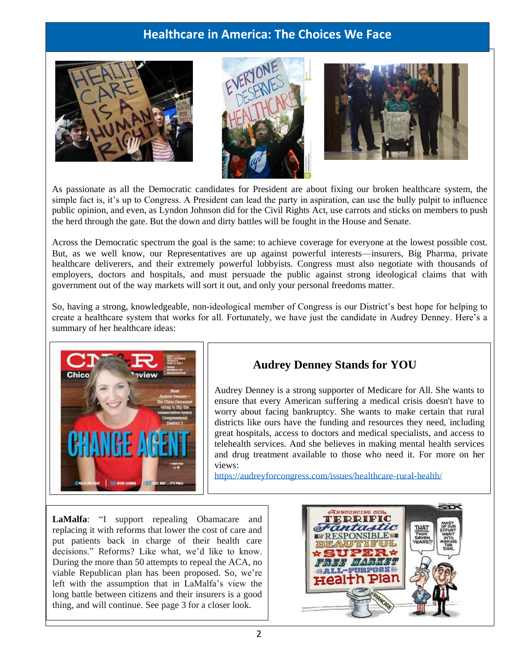## **Healthcare in America: The Choices We Face**







As passionate as all the Democratic candidates for President are about fixing our broken healthcare system, the simple fact is, it's up to Congress. A President can lead the party in aspiration, can use the bully pulpit to influence public opinion, and even, as Lyndon Johnson did for the Civil Rights Act, use carrots and sticks on members to push the herd through the gate. But the down and dirty battles will be fought in the House and Senate.

Across the Democratic spectrum the goal is the same: to achieve coverage for everyone at the lowest possible cost. But, as we well know, our Representatives are up against powerful interests—insurers, Big Pharma, private healthcare deliverers, and their extremely powerful lobbyists. Congress must also negotiate with thousands of employers, doctors and hospitals, and must persuade the public against strong ideological claims that with government out of the way markets will sort it out, and only your personal freedoms matter.

So, having a strong, knowledgeable, non-ideological member of Congress is our District's best hope for helping to create a healthcare system that works for all. Fortunately, we have just the candidate in Audrey Denney. Here's a summary of her healthcare ideas:



## **Audrey Denney Stands for YOU**

Audrey Denney is a strong supporter of Medicare for All. She wants to ensure that every American suffering a medical crisis doesn't have to worry about facing bankruptcy. She wants to make certain that rural districts like ours have the funding and resources they need, including great hospitals, access to doctors and medical specialists, and access to telehealth services. And she believes in making mental health services and drug treatment available to those who need it. For more on her views:

<https://audreyforcongress.com/issues/healthcare-rural-health/>

**LaMalfa**: "I support repealing Obamacare and replacing it with reforms that lower the cost of care and put patients back in charge of their health care decisions." Reforms? Like what, we'd like to know. During the more than 50 attempts to repeal the ACA, no viable Republican plan has been proposed. So, we're left with the assumption that in LaMalfa's view the long battle between citizens and their insurers is a good thing, and will continue. See page 3 for a closer look.

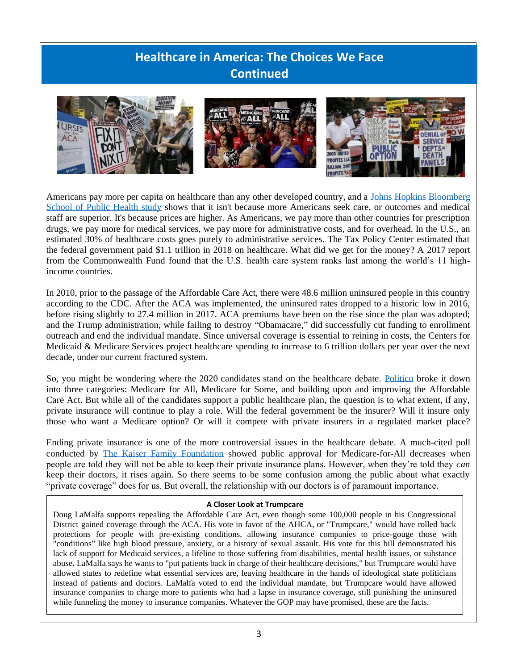## **Healthcare in America: The Choices We Face Continued**



Americans pay more per capita on healthcare than any other developed country, and a [Johns Hopkins Bloomberg](https://www.jhsph.edu/news/news-releases/2019/us-health-care-spending-highest-among-developed-countries.html)  [School of Public Health](https://www.jhsph.edu/news/news-releases/2019/us-health-care-spending-highest-among-developed-countries.html) study shows that it isn't because more Americans seek care, or outcomes and medical staff are superior. It's because prices are higher. As Americans, we pay more than other countries for prescription drugs, we pay more for medical services, we pay more for administrative costs, and for overhead. In the U.S., an estimated 30% of healthcare costs goes purely to administrative services. The Tax Policy Center estimated that the federal government paid \$1.1 trillion in 2018 on healthcare. What did we get for the money? A 2017 [report](https://www.commonwealthfund.org/interactives/2017/july/mirror-mirror/)  [from the Commonwealth Fund](https://www.commonwealthfund.org/interactives/2017/july/mirror-mirror/) found that the U.S. health care system ranks last among the world's 11 highincome countries.

In 2010, prior to the passage of the Affordable Care Act, there were 48.6 million uninsured people in this country according to the CDC. After the ACA was implemented, the uninsured rates dropped to a historic low in 2016, before rising slightly to 27.4 million in 2017. ACA premiums have been on the rise since the plan was adopted; and the Trump administration, while failing to destroy "Obamacare," did successfully cut funding to enrollment outreach and end the individual mandate. Since universal coverage is essential to reining in costs, the Centers for Medicaid & Medicare Services project healthcare spending to increase to 6 trillion dollars per year over the next decade, under our current fractured system.

So, you might be wondering where the 2020 candidates stand on the healthcare debate. [Politico](https://www.politico.com/2020-election/candidates-views-on-the-issues/health-care/medicare-for-all/) broke it down into three categories: Medicare for All, Medicare for Some, and building upon and improving the Affordable Care Act. But while all of the candidates support a public healthcare plan, the question is to what extent, if any, private insurance will continue to play a role. Will the federal government be the insurer? Will it insure only those who want a Medicare option? Or will it compete with private insurers in a regulated market place?

Ending private insurance is one of the more controversial issues in the healthcare debate. A much-cited poll conducted by [The Kaiser Family Foundation](https://www.kff.org/slideshow/public-opinion-on-single-payer-national-health-plans-and-expanding-access-to-medicare-coverage/) showed public approval for Medicare-for-All decreases when people are told they will not be able to keep their private insurance plans. However, when they're told they *can* keep their doctors, it rises again. So there seems to be some confusion among the public about what exactly "private coverage" does for us. But overall, the relationship with our doctors is of paramount importance.

#### **A Closer Look at Trumpcare**

Doug LaMalfa supports repealing the Affordable Care Act, even though some 100,000 people in his Congressional District gained coverage through the ACA. His vote in favor of the AHCA, or "Trumpcare," would have rolled back protections for people with pre-existing conditions, allowing insurance companies to price-gouge those with "conditions" like high blood pressure, anxiety, or a history of sexual assault. His vote for this bill demonstrated his lack of support for Medicaid services, a lifeline to those suffering from disabilities, mental health issues, or substance abuse. LaMalfa says he wants to "put patients back in charge of their healthcare decisions," but Trumpcare would have allowed states to redefine what essential services are, leaving healthcare in the hands of ideological state politicians instead of patients and doctors. LaMalfa voted to end the individual mandate, but Trumpcare would have allowed insurance companies to charge more to patients who had a lapse in insurance coverage, still punishing the uninsured while funneling the money to insurance companies. Whatever the GOP may have promised, these are the facts.